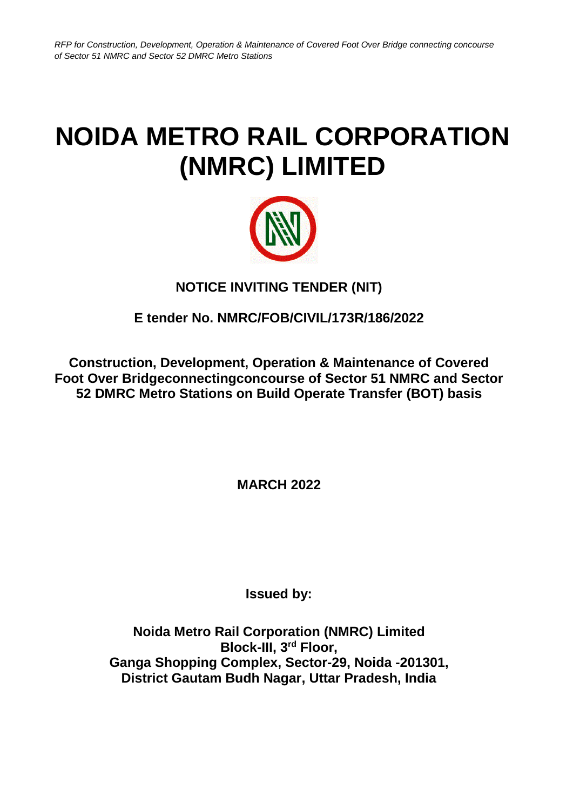## **NOIDA METRO RAIL CORPORATION (NMRC) LIMITED**



## **NOTICE INVITING TENDER (NIT)**

## **E tender No. NMRC/FOB/CIVIL/173R/186/2022**

**Construction, Development, Operation & Maintenance of Covered Foot Over Bridgeconnectingconcourse of Sector 51 NMRC and Sector 52 DMRC Metro Stations on Build Operate Transfer (BOT) basis**

**MARCH 2022**

**Issued by:**

**Noida Metro Rail Corporation (NMRC) Limited Block-III, 3rd Floor, Ganga Shopping Complex, Sector-29, Noida -201301, District Gautam Budh Nagar, Uttar Pradesh, India**